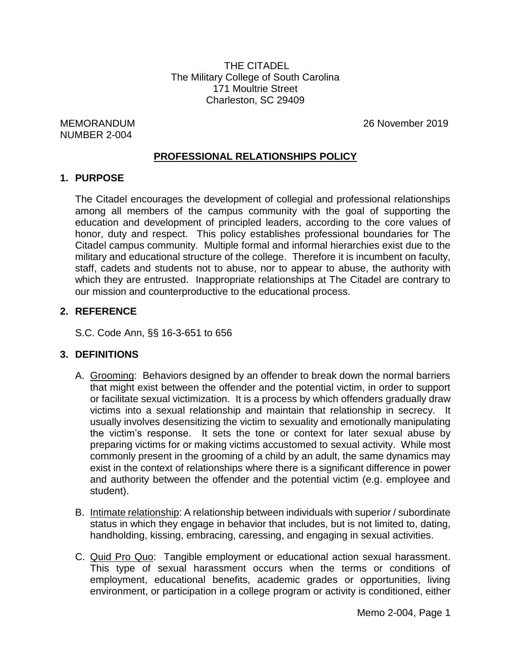THE CITADEL The Military College of South Carolina 171 Moultrie Street Charleston, SC 29409

NUMBER 2-004

MEMORANDUM 26 November 2019

### **PROFESSIONAL RELATIONSHIPS POLICY**

#### **1. PURPOSE**

The Citadel encourages the development of collegial and professional relationships among all members of the campus community with the goal of supporting the education and development of principled leaders, according to the core values of honor, duty and respect. This policy establishes professional boundaries for The Citadel campus community. Multiple formal and informal hierarchies exist due to the military and educational structure of the college. Therefore it is incumbent on faculty, staff, cadets and students not to abuse, nor to appear to abuse, the authority with which they are entrusted. Inappropriate relationships at The Citadel are contrary to our mission and counterproductive to the educational process.

## **2. REFERENCE**

S.C. Code Ann, §§ 16-3-651 to 656

### **3. DEFINITIONS**

- A. Grooming: Behaviors designed by an offender to break down the normal barriers that might exist between the offender and the potential victim, in order to support or facilitate sexual victimization. It is a process by which offenders gradually draw victims into a sexual relationship and maintain that relationship in secrecy. It usually involves desensitizing the victim to sexuality and emotionally manipulating the victim's response. It sets the tone or context for later sexual abuse by preparing victims for or making victims accustomed to sexual activity. While most commonly present in the grooming of a child by an adult, the same dynamics may exist in the context of relationships where there is a significant difference in power and authority between the offender and the potential victim (e.g. employee and student).
- B. Intimate relationship: A relationship between individuals with superior / subordinate status in which they engage in behavior that includes, but is not limited to, dating, handholding, kissing, embracing, caressing, and engaging in sexual activities.
- C. Quid Pro Quo: Tangible employment or educational action sexual harassment. This type of sexual harassment occurs when the terms or conditions of employment, educational benefits, academic grades or opportunities, living environment, or participation in a college program or activity is conditioned, either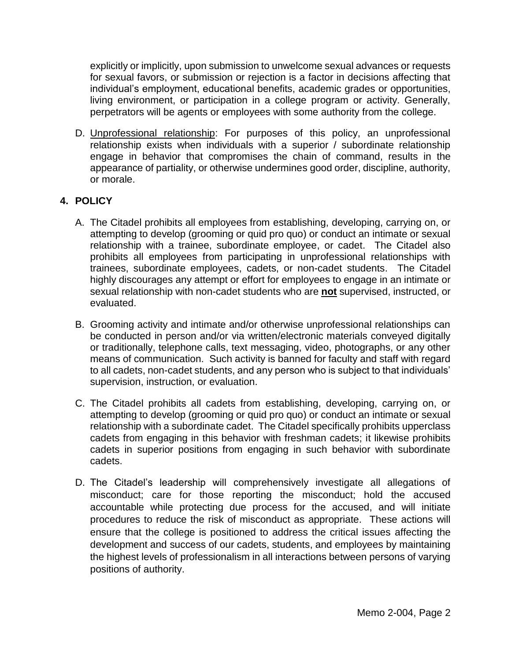explicitly or implicitly, upon submission to unwelcome sexual advances or requests for sexual favors, or submission or rejection is a factor in decisions affecting that individual's employment, educational benefits, academic grades or opportunities, living environment, or participation in a college program or activity. Generally, perpetrators will be agents or employees with some authority from the college.

D. Unprofessional relationship: For purposes of this policy, an unprofessional relationship exists when individuals with a superior / subordinate relationship engage in behavior that compromises the chain of command, results in the appearance of partiality, or otherwise undermines good order, discipline, authority, or morale.

# **4. POLICY**

- A. The Citadel prohibits all employees from establishing, developing, carrying on, or attempting to develop (grooming or quid pro quo) or conduct an intimate or sexual relationship with a trainee, subordinate employee, or cadet. The Citadel also prohibits all employees from participating in unprofessional relationships with trainees, subordinate employees, cadets, or non-cadet students. The Citadel highly discourages any attempt or effort for employees to engage in an intimate or sexual relationship with non-cadet students who are **not** supervised, instructed, or evaluated.
- B. Grooming activity and intimate and/or otherwise unprofessional relationships can be conducted in person and/or via written/electronic materials conveyed digitally or traditionally, telephone calls, text messaging, video, photographs, or any other means of communication. Such activity is banned for faculty and staff with regard to all cadets, non-cadet students, and any person who is subject to that individuals' supervision, instruction, or evaluation.
- C. The Citadel prohibits all cadets from establishing, developing, carrying on, or attempting to develop (grooming or quid pro quo) or conduct an intimate or sexual relationship with a subordinate cadet. The Citadel specifically prohibits upperclass cadets from engaging in this behavior with freshman cadets; it likewise prohibits cadets in superior positions from engaging in such behavior with subordinate cadets.
- D. The Citadel's leadership will comprehensively investigate all allegations of misconduct; care for those reporting the misconduct; hold the accused accountable while protecting due process for the accused, and will initiate procedures to reduce the risk of misconduct as appropriate. These actions will ensure that the college is positioned to address the critical issues affecting the development and success of our cadets, students, and employees by maintaining the highest levels of professionalism in all interactions between persons of varying positions of authority.